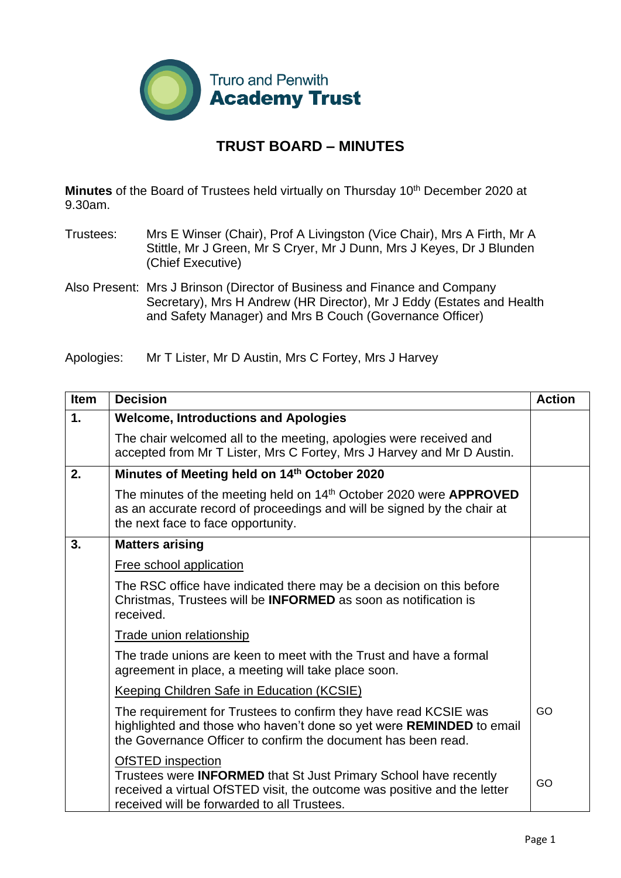

## **TRUST BOARD – MINUTES**

**Minutes** of the Board of Trustees held virtually on Thursday 10<sup>th</sup> December 2020 at 9.30am.

- Trustees: Mrs E Winser (Chair), Prof A Livingston (Vice Chair), Mrs A Firth, Mr A Stittle, Mr J Green, Mr S Cryer, Mr J Dunn, Mrs J Keyes, Dr J Blunden (Chief Executive)
- Also Present: Mrs J Brinson (Director of Business and Finance and Company Secretary), Mrs H Andrew (HR Director), Mr J Eddy (Estates and Health and Safety Manager) and Mrs B Couch (Governance Officer)
- Apologies: Mr T Lister, Mr D Austin, Mrs C Fortey, Mrs J Harvey

| <b>Item</b> | <b>Decision</b>                                                                                                                                                                                                                | <b>Action</b> |
|-------------|--------------------------------------------------------------------------------------------------------------------------------------------------------------------------------------------------------------------------------|---------------|
| 1.          | <b>Welcome, Introductions and Apologies</b>                                                                                                                                                                                    |               |
|             | The chair welcomed all to the meeting, apologies were received and<br>accepted from Mr T Lister, Mrs C Fortey, Mrs J Harvey and Mr D Austin.                                                                                   |               |
| 2.          | Minutes of Meeting held on 14th October 2020                                                                                                                                                                                   |               |
|             | The minutes of the meeting held on 14 <sup>th</sup> October 2020 were <b>APPROVED</b><br>as an accurate record of proceedings and will be signed by the chair at<br>the next face to face opportunity.                         |               |
| 3.          | <b>Matters arising</b>                                                                                                                                                                                                         |               |
|             | <b>Free school application</b>                                                                                                                                                                                                 |               |
|             | The RSC office have indicated there may be a decision on this before<br>Christmas, Trustees will be <b>INFORMED</b> as soon as notification is<br>received.                                                                    |               |
|             | Trade union relationship                                                                                                                                                                                                       |               |
|             | The trade unions are keen to meet with the Trust and have a formal<br>agreement in place, a meeting will take place soon.                                                                                                      |               |
|             | <b>Keeping Children Safe in Education (KCSIE)</b>                                                                                                                                                                              |               |
|             | The requirement for Trustees to confirm they have read KCSIE was<br>highlighted and those who haven't done so yet were REMINDED to email<br>the Governance Officer to confirm the document has been read.                      | GO            |
|             | <b>OfSTED</b> inspection<br>Trustees were <b>INFORMED</b> that St Just Primary School have recently<br>received a virtual OfSTED visit, the outcome was positive and the letter<br>received will be forwarded to all Trustees. | GO            |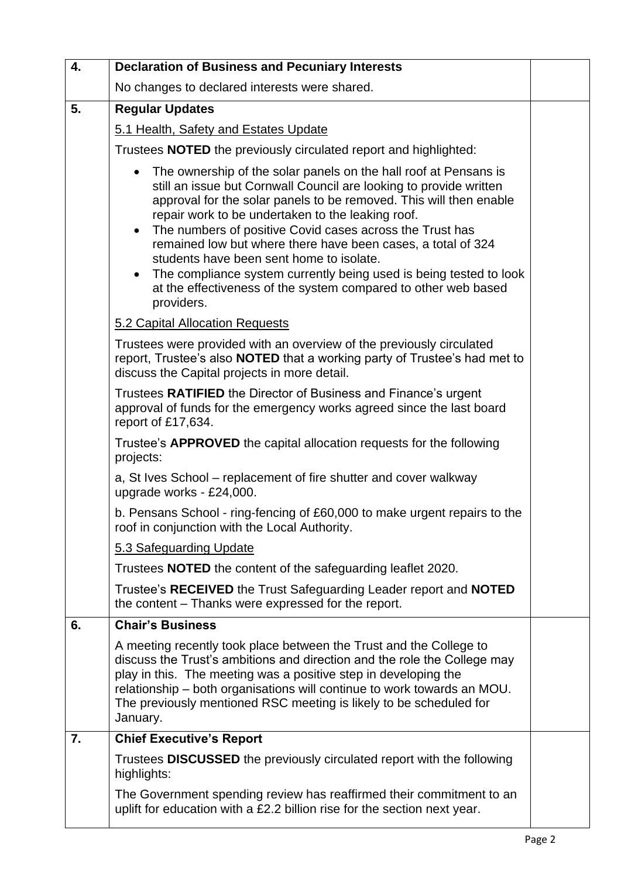| 4. | <b>Declaration of Business and Pecuniary Interests</b>                                                                                                                                                                                                                                                                                                                                                                                                                                                                                                                                                                    |  |
|----|---------------------------------------------------------------------------------------------------------------------------------------------------------------------------------------------------------------------------------------------------------------------------------------------------------------------------------------------------------------------------------------------------------------------------------------------------------------------------------------------------------------------------------------------------------------------------------------------------------------------------|--|
|    | No changes to declared interests were shared.                                                                                                                                                                                                                                                                                                                                                                                                                                                                                                                                                                             |  |
| 5. | <b>Regular Updates</b>                                                                                                                                                                                                                                                                                                                                                                                                                                                                                                                                                                                                    |  |
|    | 5.1 Health, Safety and Estates Update                                                                                                                                                                                                                                                                                                                                                                                                                                                                                                                                                                                     |  |
|    | Trustees <b>NOTED</b> the previously circulated report and highlighted:                                                                                                                                                                                                                                                                                                                                                                                                                                                                                                                                                   |  |
|    | The ownership of the solar panels on the hall roof at Pensans is<br>$\bullet$<br>still an issue but Cornwall Council are looking to provide written<br>approval for the solar panels to be removed. This will then enable<br>repair work to be undertaken to the leaking roof.<br>The numbers of positive Covid cases across the Trust has<br>remained low but where there have been cases, a total of 324<br>students have been sent home to isolate.<br>The compliance system currently being used is being tested to look<br>$\bullet$<br>at the effectiveness of the system compared to other web based<br>providers. |  |
|    | 5.2 Capital Allocation Requests                                                                                                                                                                                                                                                                                                                                                                                                                                                                                                                                                                                           |  |
|    | Trustees were provided with an overview of the previously circulated<br>report, Trustee's also <b>NOTED</b> that a working party of Trustee's had met to<br>discuss the Capital projects in more detail.                                                                                                                                                                                                                                                                                                                                                                                                                  |  |
|    | Trustees <b>RATIFIED</b> the Director of Business and Finance's urgent<br>approval of funds for the emergency works agreed since the last board<br>report of £17,634.                                                                                                                                                                                                                                                                                                                                                                                                                                                     |  |
|    | Trustee's <b>APPROVED</b> the capital allocation requests for the following<br>projects:                                                                                                                                                                                                                                                                                                                                                                                                                                                                                                                                  |  |
|    | a, St Ives School – replacement of fire shutter and cover walkway<br>upgrade works - £24,000.                                                                                                                                                                                                                                                                                                                                                                                                                                                                                                                             |  |
|    | b. Pensans School - ring-fencing of £60,000 to make urgent repairs to the<br>roof in conjunction with the Local Authority.                                                                                                                                                                                                                                                                                                                                                                                                                                                                                                |  |
|    | 5.3 Safeguarding Update                                                                                                                                                                                                                                                                                                                                                                                                                                                                                                                                                                                                   |  |
|    | Trustees <b>NOTED</b> the content of the safeguarding leaflet 2020.                                                                                                                                                                                                                                                                                                                                                                                                                                                                                                                                                       |  |
|    | Trustee's RECEIVED the Trust Safeguarding Leader report and NOTED<br>the content – Thanks were expressed for the report.                                                                                                                                                                                                                                                                                                                                                                                                                                                                                                  |  |
| 6. | <b>Chair's Business</b>                                                                                                                                                                                                                                                                                                                                                                                                                                                                                                                                                                                                   |  |
|    | A meeting recently took place between the Trust and the College to<br>discuss the Trust's ambitions and direction and the role the College may<br>play in this. The meeting was a positive step in developing the<br>relationship – both organisations will continue to work towards an MOU.<br>The previously mentioned RSC meeting is likely to be scheduled for<br>January.                                                                                                                                                                                                                                            |  |
| 7. | <b>Chief Executive's Report</b>                                                                                                                                                                                                                                                                                                                                                                                                                                                                                                                                                                                           |  |
|    | Trustees <b>DISCUSSED</b> the previously circulated report with the following<br>highlights:                                                                                                                                                                                                                                                                                                                                                                                                                                                                                                                              |  |
|    | The Government spending review has reaffirmed their commitment to an<br>uplift for education with a £2.2 billion rise for the section next year.                                                                                                                                                                                                                                                                                                                                                                                                                                                                          |  |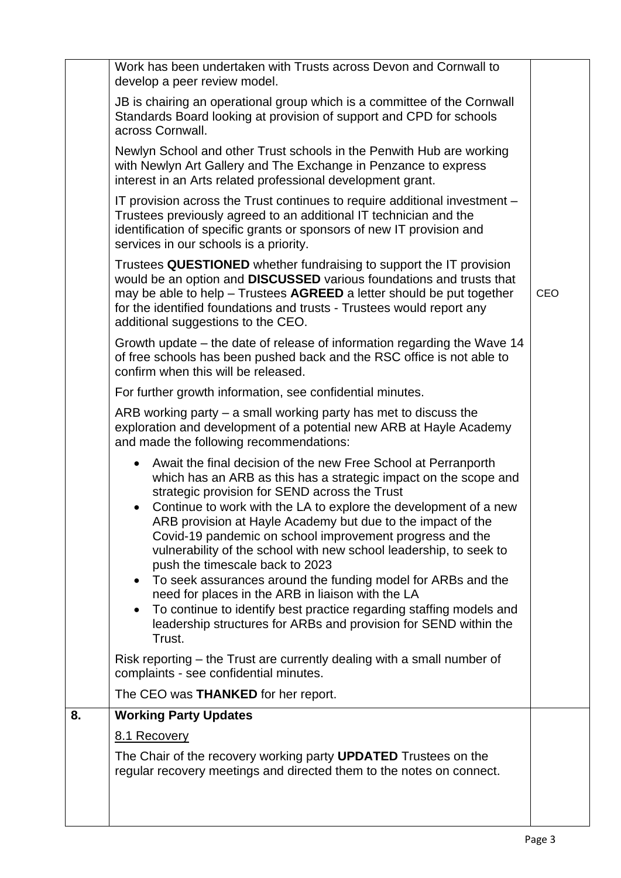|    | 8.1 Recovery<br>The Chair of the recovery working party <b>UPDATED</b> Trustees on the<br>regular recovery meetings and directed them to the notes on connect.                                                                                                                                                                                                                                                                                                                                                                                                                                                                                                                                                                                                                                                                             |     |
|----|--------------------------------------------------------------------------------------------------------------------------------------------------------------------------------------------------------------------------------------------------------------------------------------------------------------------------------------------------------------------------------------------------------------------------------------------------------------------------------------------------------------------------------------------------------------------------------------------------------------------------------------------------------------------------------------------------------------------------------------------------------------------------------------------------------------------------------------------|-----|
| 8. | <b>Working Party Updates</b>                                                                                                                                                                                                                                                                                                                                                                                                                                                                                                                                                                                                                                                                                                                                                                                                               |     |
|    | The CEO was <b>THANKED</b> for her report.                                                                                                                                                                                                                                                                                                                                                                                                                                                                                                                                                                                                                                                                                                                                                                                                 |     |
|    | Risk reporting – the Trust are currently dealing with a small number of<br>complaints - see confidential minutes.                                                                                                                                                                                                                                                                                                                                                                                                                                                                                                                                                                                                                                                                                                                          |     |
|    | and made the following recommendations:<br>Await the final decision of the new Free School at Perranporth<br>$\bullet$<br>which has an ARB as this has a strategic impact on the scope and<br>strategic provision for SEND across the Trust<br>Continue to work with the LA to explore the development of a new<br>ARB provision at Hayle Academy but due to the impact of the<br>Covid-19 pandemic on school improvement progress and the<br>vulnerability of the school with new school leadership, to seek to<br>push the timescale back to 2023<br>To seek assurances around the funding model for ARBs and the<br>need for places in the ARB in liaison with the LA<br>To continue to identify best practice regarding staffing models and<br>$\bullet$<br>leadership structures for ARBs and provision for SEND within the<br>Trust. |     |
|    | For further growth information, see confidential minutes.<br>ARB working party $-$ a small working party has met to discuss the<br>exploration and development of a potential new ARB at Hayle Academy                                                                                                                                                                                                                                                                                                                                                                                                                                                                                                                                                                                                                                     |     |
|    | Growth update – the date of release of information regarding the Wave 14<br>of free schools has been pushed back and the RSC office is not able to<br>confirm when this will be released.                                                                                                                                                                                                                                                                                                                                                                                                                                                                                                                                                                                                                                                  |     |
|    | Trustees QUESTIONED whether fundraising to support the IT provision<br>would be an option and DISCUSSED various foundations and trusts that<br>may be able to help - Trustees AGREED a letter should be put together<br>for the identified foundations and trusts - Trustees would report any<br>additional suggestions to the CEO.                                                                                                                                                                                                                                                                                                                                                                                                                                                                                                        | CEO |
|    | IT provision across the Trust continues to require additional investment –<br>Trustees previously agreed to an additional IT technician and the<br>identification of specific grants or sponsors of new IT provision and<br>services in our schools is a priority.                                                                                                                                                                                                                                                                                                                                                                                                                                                                                                                                                                         |     |
|    | Newlyn School and other Trust schools in the Penwith Hub are working<br>with Newlyn Art Gallery and The Exchange in Penzance to express<br>interest in an Arts related professional development grant.                                                                                                                                                                                                                                                                                                                                                                                                                                                                                                                                                                                                                                     |     |
|    | JB is chairing an operational group which is a committee of the Cornwall<br>Standards Board looking at provision of support and CPD for schools<br>across Cornwall.                                                                                                                                                                                                                                                                                                                                                                                                                                                                                                                                                                                                                                                                        |     |
|    | Work has been undertaken with Trusts across Devon and Cornwall to<br>develop a peer review model.                                                                                                                                                                                                                                                                                                                                                                                                                                                                                                                                                                                                                                                                                                                                          |     |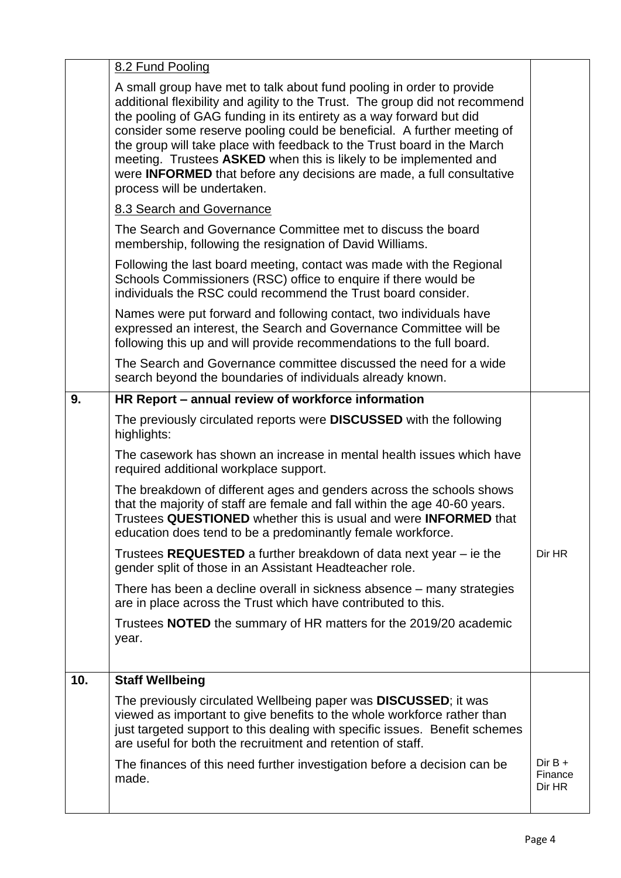|     | 8.2 Fund Pooling                                                                                                                                                                                                                                                                                                                                                                                                                                                                                                                                                       |                                |
|-----|------------------------------------------------------------------------------------------------------------------------------------------------------------------------------------------------------------------------------------------------------------------------------------------------------------------------------------------------------------------------------------------------------------------------------------------------------------------------------------------------------------------------------------------------------------------------|--------------------------------|
|     | A small group have met to talk about fund pooling in order to provide<br>additional flexibility and agility to the Trust. The group did not recommend<br>the pooling of GAG funding in its entirety as a way forward but did<br>consider some reserve pooling could be beneficial. A further meeting of<br>the group will take place with feedback to the Trust board in the March<br>meeting. Trustees ASKED when this is likely to be implemented and<br>were <b>INFORMED</b> that before any decisions are made, a full consultative<br>process will be undertaken. |                                |
|     | 8.3 Search and Governance                                                                                                                                                                                                                                                                                                                                                                                                                                                                                                                                              |                                |
|     | The Search and Governance Committee met to discuss the board<br>membership, following the resignation of David Williams.                                                                                                                                                                                                                                                                                                                                                                                                                                               |                                |
|     | Following the last board meeting, contact was made with the Regional<br>Schools Commissioners (RSC) office to enquire if there would be<br>individuals the RSC could recommend the Trust board consider.                                                                                                                                                                                                                                                                                                                                                               |                                |
|     | Names were put forward and following contact, two individuals have<br>expressed an interest, the Search and Governance Committee will be<br>following this up and will provide recommendations to the full board.                                                                                                                                                                                                                                                                                                                                                      |                                |
|     | The Search and Governance committee discussed the need for a wide<br>search beyond the boundaries of individuals already known.                                                                                                                                                                                                                                                                                                                                                                                                                                        |                                |
| 9.  | HR Report - annual review of workforce information                                                                                                                                                                                                                                                                                                                                                                                                                                                                                                                     |                                |
|     | The previously circulated reports were <b>DISCUSSED</b> with the following<br>highlights:                                                                                                                                                                                                                                                                                                                                                                                                                                                                              |                                |
|     | The casework has shown an increase in mental health issues which have<br>required additional workplace support.                                                                                                                                                                                                                                                                                                                                                                                                                                                        |                                |
|     | The breakdown of different ages and genders across the schools shows<br>that the majority of staff are female and fall within the age 40-60 years.<br>Trustees QUESTIONED whether this is usual and were INFORMED that<br>education does tend to be a predominantly female workforce.                                                                                                                                                                                                                                                                                  |                                |
|     | Trustees REQUESTED a further breakdown of data next year – ie the<br>gender split of those in an Assistant Headteacher role.                                                                                                                                                                                                                                                                                                                                                                                                                                           | Dir HR                         |
|     | There has been a decline overall in sickness absence – many strategies<br>are in place across the Trust which have contributed to this.                                                                                                                                                                                                                                                                                                                                                                                                                                |                                |
|     | Trustees <b>NOTED</b> the summary of HR matters for the 2019/20 academic<br>year.                                                                                                                                                                                                                                                                                                                                                                                                                                                                                      |                                |
| 10. | <b>Staff Wellbeing</b>                                                                                                                                                                                                                                                                                                                                                                                                                                                                                                                                                 |                                |
|     | The previously circulated Wellbeing paper was <b>DISCUSSED</b> ; it was<br>viewed as important to give benefits to the whole workforce rather than<br>just targeted support to this dealing with specific issues. Benefit schemes<br>are useful for both the recruitment and retention of staff.                                                                                                                                                                                                                                                                       |                                |
|     | The finances of this need further investigation before a decision can be<br>made.                                                                                                                                                                                                                                                                                                                                                                                                                                                                                      | $Dir B +$<br>Finance<br>Dir HR |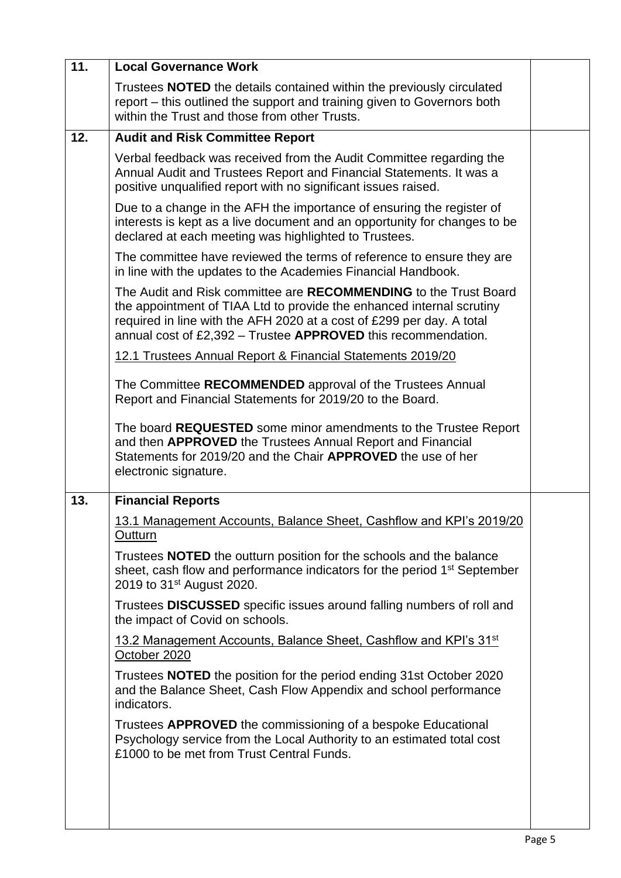| 11. | <b>Local Governance Work</b>                                                                                                                                                                                                                                                        |  |
|-----|-------------------------------------------------------------------------------------------------------------------------------------------------------------------------------------------------------------------------------------------------------------------------------------|--|
|     | Trustees <b>NOTED</b> the details contained within the previously circulated<br>report - this outlined the support and training given to Governors both<br>within the Trust and those from other Trusts.                                                                            |  |
| 12. | <b>Audit and Risk Committee Report</b>                                                                                                                                                                                                                                              |  |
|     | Verbal feedback was received from the Audit Committee regarding the<br>Annual Audit and Trustees Report and Financial Statements. It was a<br>positive unqualified report with no significant issues raised.                                                                        |  |
|     | Due to a change in the AFH the importance of ensuring the register of<br>interests is kept as a live document and an opportunity for changes to be<br>declared at each meeting was highlighted to Trustees.                                                                         |  |
|     | The committee have reviewed the terms of reference to ensure they are<br>in line with the updates to the Academies Financial Handbook.                                                                                                                                              |  |
|     | The Audit and Risk committee are RECOMMENDING to the Trust Board<br>the appointment of TIAA Ltd to provide the enhanced internal scrutiny<br>required in line with the AFH 2020 at a cost of £299 per day. A total<br>annual cost of £2,392 - Trustee APPROVED this recommendation. |  |
|     | 12.1 Trustees Annual Report & Financial Statements 2019/20                                                                                                                                                                                                                          |  |
|     | The Committee RECOMMENDED approval of the Trustees Annual<br>Report and Financial Statements for 2019/20 to the Board.                                                                                                                                                              |  |
|     | The board REQUESTED some minor amendments to the Trustee Report<br>and then APPROVED the Trustees Annual Report and Financial<br>Statements for 2019/20 and the Chair APPROVED the use of her<br>electronic signature.                                                              |  |
| 13. | <b>Financial Reports</b>                                                                                                                                                                                                                                                            |  |
|     | 13.1 Management Accounts, Balance Sheet, Cashflow and KPI's 2019/20<br>Outturn                                                                                                                                                                                                      |  |
|     | Trustees <b>NOTED</b> the outturn position for the schools and the balance<br>sheet, cash flow and performance indicators for the period 1 <sup>st</sup> September<br>2019 to 31 <sup>st</sup> August 2020.                                                                         |  |
|     | Trustees <b>DISCUSSED</b> specific issues around falling numbers of roll and<br>the impact of Covid on schools.                                                                                                                                                                     |  |
|     | 13.2 Management Accounts, Balance Sheet, Cashflow and KPI's 31 <sup>st</sup><br>October 2020                                                                                                                                                                                        |  |
|     | Trustees <b>NOTED</b> the position for the period ending 31st October 2020<br>and the Balance Sheet, Cash Flow Appendix and school performance<br>indicators.                                                                                                                       |  |
|     | Trustees <b>APPROVED</b> the commissioning of a bespoke Educational<br>Psychology service from the Local Authority to an estimated total cost<br>£1000 to be met from Trust Central Funds.                                                                                          |  |
|     |                                                                                                                                                                                                                                                                                     |  |
|     |                                                                                                                                                                                                                                                                                     |  |